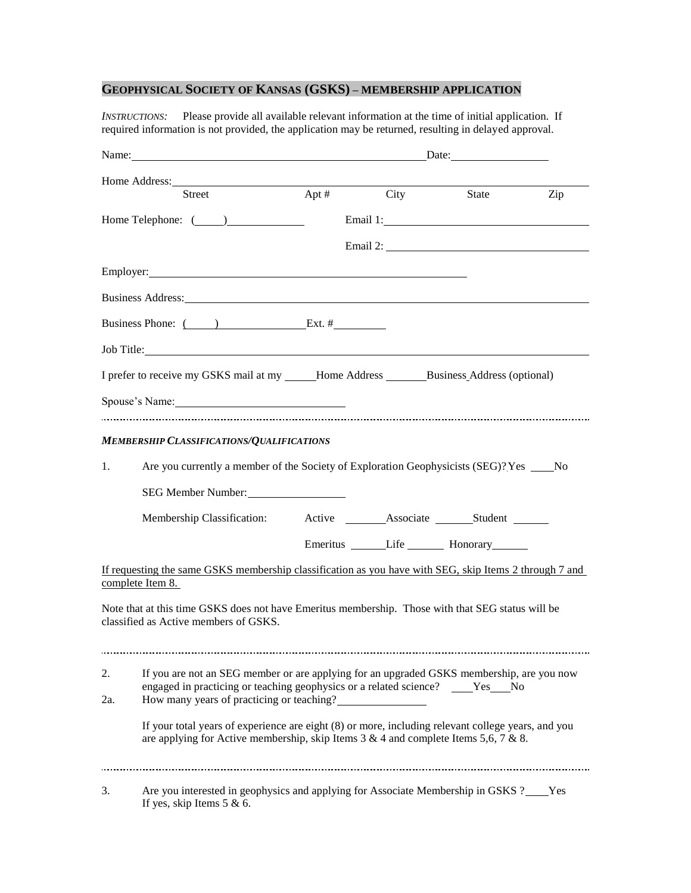## **GEOPHYSICAL SOCIETY OF KANSAS (GSKS) – MEMBERSHIP APPLICATION**

*INSTRUCTIONS:* Please provide all available relevant information at the time of initial application. If required information is not provided, the application may be returned, resulting in delayed approval.

|                  | Name: Date: Date:                                                                                                                                                                                                                  |  |                                                   |     |
|------------------|------------------------------------------------------------------------------------------------------------------------------------------------------------------------------------------------------------------------------------|--|---------------------------------------------------|-----|
| Home Address:    |                                                                                                                                                                                                                                    |  |                                                   |     |
|                  | Street                                                                                                                                                                                                                             |  | Apt # City State                                  | Zip |
|                  |                                                                                                                                                                                                                                    |  |                                                   |     |
|                  |                                                                                                                                                                                                                                    |  |                                                   |     |
|                  | Employer: <u>completion</u> and containing the set of the set of the set of the set of the set of the set of the set of the set of the set of the set of the set of the set of the set of the set of the set of the set of the set |  |                                                   |     |
|                  | Business Address: No. 1996. The Second State of the Second State of the Second State of the Second State of the Second State of the Second State of the Second State of the Second State of the Second State of the Second Sta     |  |                                                   |     |
|                  | Business Phone: ( ) Ext. #                                                                                                                                                                                                         |  |                                                   |     |
|                  | Job Title: The contract of the contract of the contract of the contract of the contract of the contract of the contract of the contract of the contract of the contract of the contract of the contract of the contract of the     |  |                                                   |     |
|                  | I prefer to receive my GSKS mail at my _____Home Address _______Business_Address (optional)                                                                                                                                        |  |                                                   |     |
|                  | Spouse's Name:                                                                                                                                                                                                                     |  |                                                   |     |
|                  |                                                                                                                                                                                                                                    |  |                                                   |     |
|                  | <b>MEMBERSHIP CLASSIFICATIONS/QUALIFICATIONS</b>                                                                                                                                                                                   |  |                                                   |     |
| 1.               | Are you currently a member of the Society of Exploration Geophysicists (SEG)? Yes _____ No                                                                                                                                         |  |                                                   |     |
|                  | SEG Member Number:                                                                                                                                                                                                                 |  |                                                   |     |
|                  | Membership Classification: Active _______Associate _______Student _______                                                                                                                                                          |  |                                                   |     |
|                  |                                                                                                                                                                                                                                    |  | Emeritus _______Life ___________ Honorary________ |     |
| complete Item 8. | If requesting the same GSKS membership classification as you have with SEG, skip Items 2 through 7 and                                                                                                                             |  |                                                   |     |
|                  | Note that at this time GSKS does not have Emeritus membership. Those with that SEG status will be<br>classified as Active members of GSKS.                                                                                         |  |                                                   |     |
|                  |                                                                                                                                                                                                                                    |  |                                                   |     |
| 2.               | If you are not an SEG member or are applying for an upgraded GSKS membership, are you now<br>engaged in practicing or teaching geophysics or a related science? ____Yes___No                                                       |  |                                                   |     |
| 2a.              | How many years of practicing or teaching?                                                                                                                                                                                          |  |                                                   |     |
|                  | If your total years of experience are eight (8) or more, including relevant college years, and you<br>are applying for Active membership, skip Items $3 & 4$ and complete Items $5, 6, 7 & 8$ .                                    |  |                                                   |     |
|                  |                                                                                                                                                                                                                                    |  |                                                   |     |
| 3.               | Are you interested in geophysics and applying for Associate Membership in GSKS ?____Yes<br>If yes, skip Items $5 & 6$ .                                                                                                            |  |                                                   |     |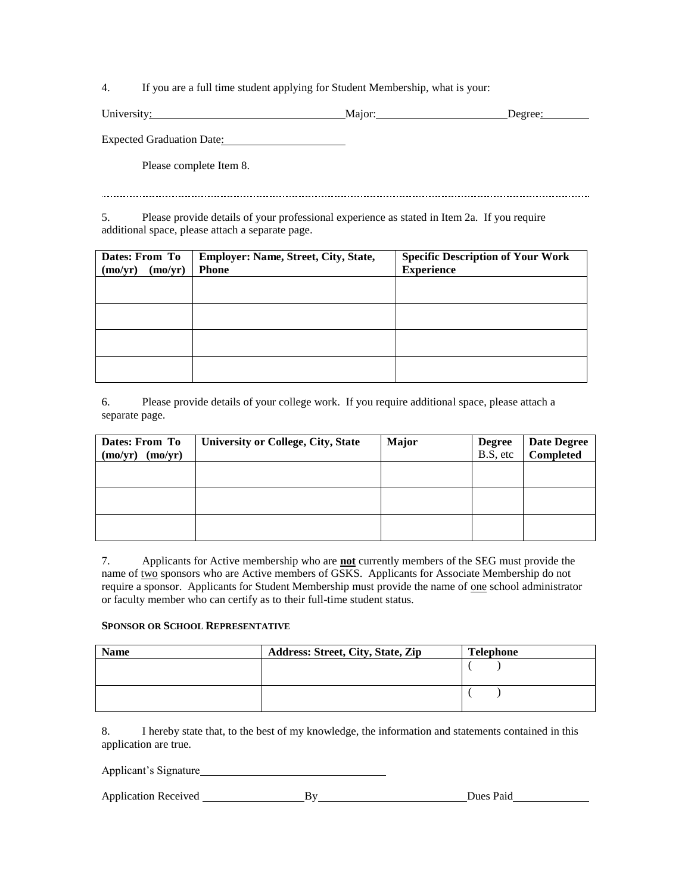4. If you are a full time student applying for Student Membership, what is your:

| $T$ $T$<br>University: | .491 | learee: |
|------------------------|------|---------|
|                        |      |         |

Expected Graduation Date: 2000

Please complete Item 8.

5. Please provide details of your professional experience as stated in Item 2a. If you require additional space, please attach a separate page.

| Dates: From To     | Employer: Name, Street, City, State, | <b>Specific Description of Your Work</b> |  |  |
|--------------------|--------------------------------------|------------------------------------------|--|--|
| (mo/yr)<br>(mo/yr) | <b>Phone</b>                         | <b>Experience</b>                        |  |  |
|                    |                                      |                                          |  |  |
|                    |                                      |                                          |  |  |
|                    |                                      |                                          |  |  |
|                    |                                      |                                          |  |  |
|                    |                                      |                                          |  |  |
|                    |                                      |                                          |  |  |
|                    |                                      |                                          |  |  |
|                    |                                      |                                          |  |  |

6. Please provide details of your college work. If you require additional space, please attach a separate page.

| Dates: From To     | <b>University or College, City, State</b> | <b>Major</b> | <b>Degree</b> | <b>Date Degree</b> |
|--------------------|-------------------------------------------|--------------|---------------|--------------------|
| (mo/yr)<br>(mo/yr) |                                           |              | B.S. etc      | Completed          |
|                    |                                           |              |               |                    |
|                    |                                           |              |               |                    |
|                    |                                           |              |               |                    |
|                    |                                           |              |               |                    |
|                    |                                           |              |               |                    |
|                    |                                           |              |               |                    |

7. Applicants for Active membership who are **not** currently members of the SEG must provide the name of two sponsors who are Active members of GSKS. Applicants for Associate Membership do not require a sponsor. Applicants for Student Membership must provide the name of one school administrator or faculty member who can certify as to their full-time student status.

## **SPONSOR OR SCHOOL REPRESENTATIVE**

| <b>Name</b> | Address: Street, City, State, Zip | Telephone |
|-------------|-----------------------------------|-----------|
|             |                                   |           |
|             |                                   |           |
|             |                                   |           |
|             |                                   |           |

8. I hereby state that, to the best of my knowledge, the information and statements contained in this application are true.

Applicant's Signature

| Dues Paid<br><b>Application Received</b> |  |
|------------------------------------------|--|
|------------------------------------------|--|